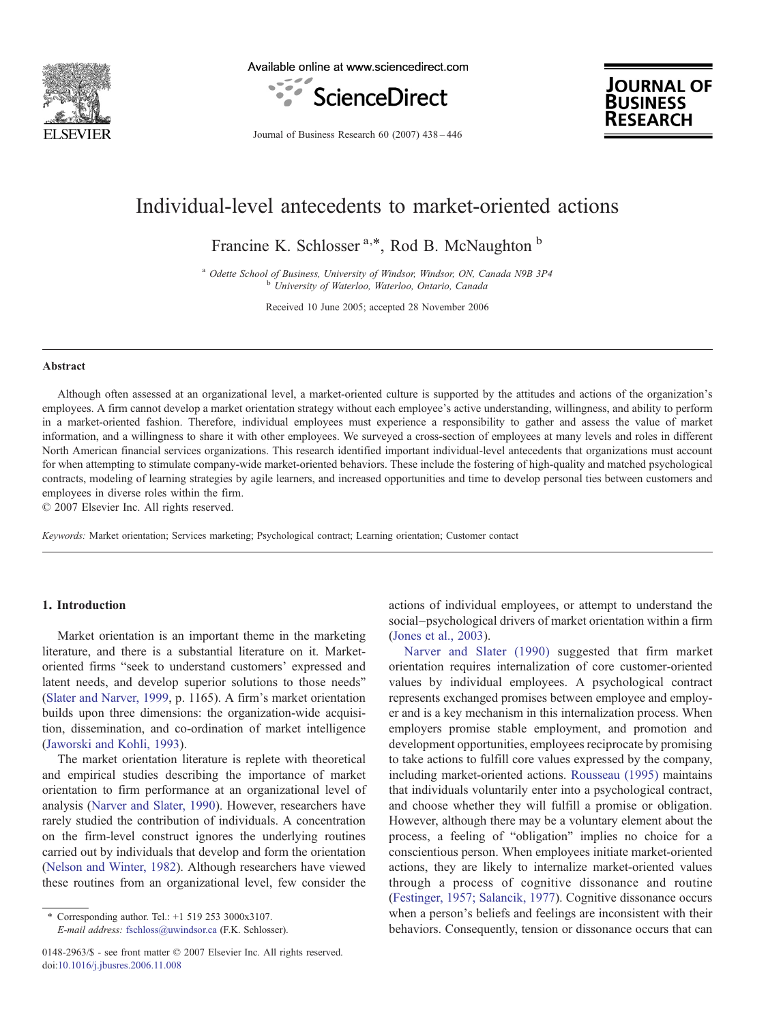

Available online at www.sciencedirect.com





Journal of Business Research 60 (2007) 438–446

## Individual-level antecedents to market-oriented actions

Francine K. Schlosser<sup>a,\*</sup>, Rod B. McNaughton b

<sup>a</sup> Odette School of Business, University of Windsor, Windsor, ON, Canada N9B 3P4<br><sup>b</sup> University of Waterloo, Waterloo, Ontario, Canada

Received 10 June 2005; accepted 28 November 2006

#### Abstract

Although often assessed at an organizational level, a market-oriented culture is supported by the attitudes and actions of the organization's employees. A firm cannot develop a market orientation strategy without each employee's active understanding, willingness, and ability to perform in a market-oriented fashion. Therefore, individual employees must experience a responsibility to gather and assess the value of market information, and a willingness to share it with other employees. We surveyed a cross-section of employees at many levels and roles in different North American financial services organizations. This research identified important individual-level antecedents that organizations must account for when attempting to stimulate company-wide market-oriented behaviors. These include the fostering of high-quality and matched psychological contracts, modeling of learning strategies by agile learners, and increased opportunities and time to develop personal ties between customers and employees in diverse roles within the firm.

© 2007 Elsevier Inc. All rights reserved.

Keywords: Market orientation; Services marketing; Psychological contract; Learning orientation; Customer contact

### 1. Introduction

Market orientation is an important theme in the marketing literature, and there is a substantial literature on it. Marketoriented firms "seek to understand customers' expressed and latent needs, and develop superior solutions to those needs" ([Slater and Narver, 1999,](#page--1-0) p. 1165). A firm's market orientation builds upon three dimensions: the organization-wide acquisition, dissemination, and co-ordination of market intelligence ([Jaworski and Kohli, 1993](#page--1-0)).

The market orientation literature is replete with theoretical and empirical studies describing the importance of market orientation to firm performance at an organizational level of analysis ([Narver and Slater, 1990](#page--1-0)). However, researchers have rarely studied the contribution of individuals. A concentration on the firm-level construct ignores the underlying routines carried out by individuals that develop and form the orientation ([Nelson and Winter, 1982\)](#page--1-0). Although researchers have viewed these routines from an organizational level, few consider the

⁎ Corresponding author. Tel.: +1 519 253 3000x3107. E-mail address: [fschloss@uwindsor.ca](mailto:fschloss@uwindsor.ca) (F.K. Schlosser).

0148-2963/\$ - see front matter © 2007 Elsevier Inc. All rights reserved. doi:[10.1016/j.jbusres.2006.11.008](http://dx.doi.org/10.1016/j.jbusres.2006.11.008)

actions of individual employees, or attempt to understand the social–psychological drivers of market orientation within a firm ([Jones et al., 2003](#page--1-0)).

[Narver and Slater \(1990\)](#page--1-0) suggested that firm market orientation requires internalization of core customer-oriented values by individual employees. A psychological contract represents exchanged promises between employee and employer and is a key mechanism in this internalization process. When employers promise stable employment, and promotion and development opportunities, employees reciprocate by promising to take actions to fulfill core values expressed by the company, including market-oriented actions. [Rousseau \(1995\)](#page--1-0) maintains that individuals voluntarily enter into a psychological contract, and choose whether they will fulfill a promise or obligation. However, although there may be a voluntary element about the process, a feeling of "obligation" implies no choice for a conscientious person. When employees initiate market-oriented actions, they are likely to internalize market-oriented values through a process of cognitive dissonance and routine ([Festinger, 1957; Salancik, 1977\)](#page--1-0). Cognitive dissonance occurs when a person's beliefs and feelings are inconsistent with their behaviors. Consequently, tension or dissonance occurs that can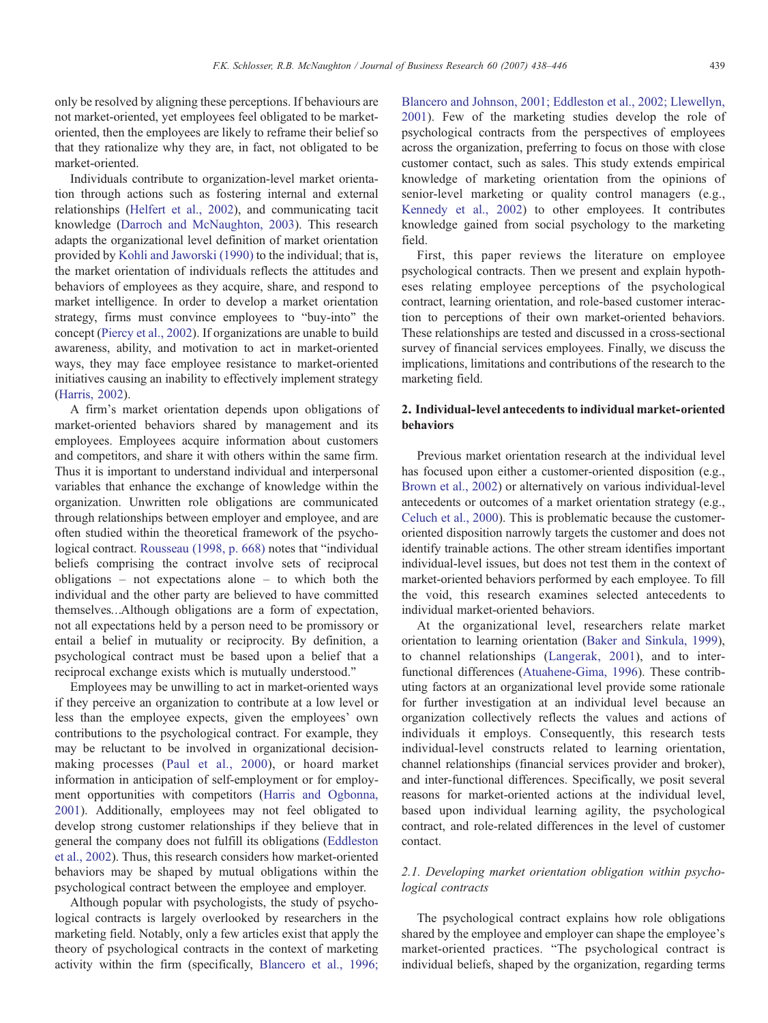only be resolved by aligning these perceptions. If behaviours are not market-oriented, yet employees feel obligated to be marketoriented, then the employees are likely to reframe their belief so that they rationalize why they are, in fact, not obligated to be market-oriented.

Individuals contribute to organization-level market orientation through actions such as fostering internal and external relationships ([Helfert et al., 2002](#page--1-0)), and communicating tacit knowledge ([Darroch and McNaughton, 2003\)](#page--1-0). This research adapts the organizational level definition of market orientation provided by [Kohli and Jaworski \(1990\)](#page--1-0) to the individual; that is, the market orientation of individuals reflects the attitudes and behaviors of employees as they acquire, share, and respond to market intelligence. In order to develop a market orientation strategy, firms must convince employees to "buy-into" the concept ([Piercy et al., 2002](#page--1-0)). If organizations are unable to build awareness, ability, and motivation to act in market-oriented ways, they may face employee resistance to market-oriented initiatives causing an inability to effectively implement strategy ([Harris, 2002\)](#page--1-0).

A firm's market orientation depends upon obligations of market-oriented behaviors shared by management and its employees. Employees acquire information about customers and competitors, and share it with others within the same firm. Thus it is important to understand individual and interpersonal variables that enhance the exchange of knowledge within the organization. Unwritten role obligations are communicated through relationships between employer and employee, and are often studied within the theoretical framework of the psychological contract. [Rousseau \(1998, p. 668\)](#page--1-0) notes that "individual beliefs comprising the contract involve sets of reciprocal obligations – not expectations alone – to which both the individual and the other party are believed to have committed themselves…Although obligations are a form of expectation, not all expectations held by a person need to be promissory or entail a belief in mutuality or reciprocity. By definition, a psychological contract must be based upon a belief that a reciprocal exchange exists which is mutually understood."

Employees may be unwilling to act in market-oriented ways if they perceive an organization to contribute at a low level or less than the employee expects, given the employees' own contributions to the psychological contract. For example, they may be reluctant to be involved in organizational decisionmaking processes ([Paul et al., 2000\)](#page--1-0), or hoard market information in anticipation of self-employment or for employment opportunities with competitors [\(Harris and Ogbonna,](#page--1-0) [2001](#page--1-0)). Additionally, employees may not feel obligated to develop strong customer relationships if they believe that in general the company does not fulfill its obligations ([Eddleston](#page--1-0) [et al., 2002\)](#page--1-0). Thus, this research considers how market-oriented behaviors may be shaped by mutual obligations within the psychological contract between the employee and employer.

Although popular with psychologists, the study of psychological contracts is largely overlooked by researchers in the marketing field. Notably, only a few articles exist that apply the theory of psychological contracts in the context of marketing activity within the firm (specifically, [Blancero et al., 1996;](#page--1-0) [Blancero and Johnson, 2001; Eddleston et al., 2002; Llewellyn,](#page--1-0) [2001](#page--1-0)). Few of the marketing studies develop the role of psychological contracts from the perspectives of employees across the organization, preferring to focus on those with close customer contact, such as sales. This study extends empirical knowledge of marketing orientation from the opinions of senior-level marketing or quality control managers (e.g., [Kennedy et al., 2002](#page--1-0)) to other employees. It contributes knowledge gained from social psychology to the marketing field.

First, this paper reviews the literature on employee psychological contracts. Then we present and explain hypotheses relating employee perceptions of the psychological contract, learning orientation, and role-based customer interaction to perceptions of their own market-oriented behaviors. These relationships are tested and discussed in a cross-sectional survey of financial services employees. Finally, we discuss the implications, limitations and contributions of the research to the marketing field.

#### 2. Individual-level antecedents to individual market-oriented behaviors

Previous market orientation research at the individual level has focused upon either a customer-oriented disposition (e.g., [Brown et al., 2002](#page--1-0)) or alternatively on various individual-level antecedents or outcomes of a market orientation strategy (e.g., [Celuch et al., 2000\)](#page--1-0). This is problematic because the customeroriented disposition narrowly targets the customer and does not identify trainable actions. The other stream identifies important individual-level issues, but does not test them in the context of market-oriented behaviors performed by each employee. To fill the void, this research examines selected antecedents to individual market-oriented behaviors.

At the organizational level, researchers relate market orientation to learning orientation [\(Baker and Sinkula, 1999\)](#page--1-0), to channel relationships [\(Langerak, 2001](#page--1-0)), and to interfunctional differences ([Atuahene-Gima, 1996\)](#page--1-0). These contributing factors at an organizational level provide some rationale for further investigation at an individual level because an organization collectively reflects the values and actions of individuals it employs. Consequently, this research tests individual-level constructs related to learning orientation, channel relationships (financial services provider and broker), and inter-functional differences. Specifically, we posit several reasons for market-oriented actions at the individual level, based upon individual learning agility, the psychological contract, and role-related differences in the level of customer contact.

#### 2.1. Developing market orientation obligation within psychological contracts

The psychological contract explains how role obligations shared by the employee and employer can shape the employee's market-oriented practices. "The psychological contract is individual beliefs, shaped by the organization, regarding terms